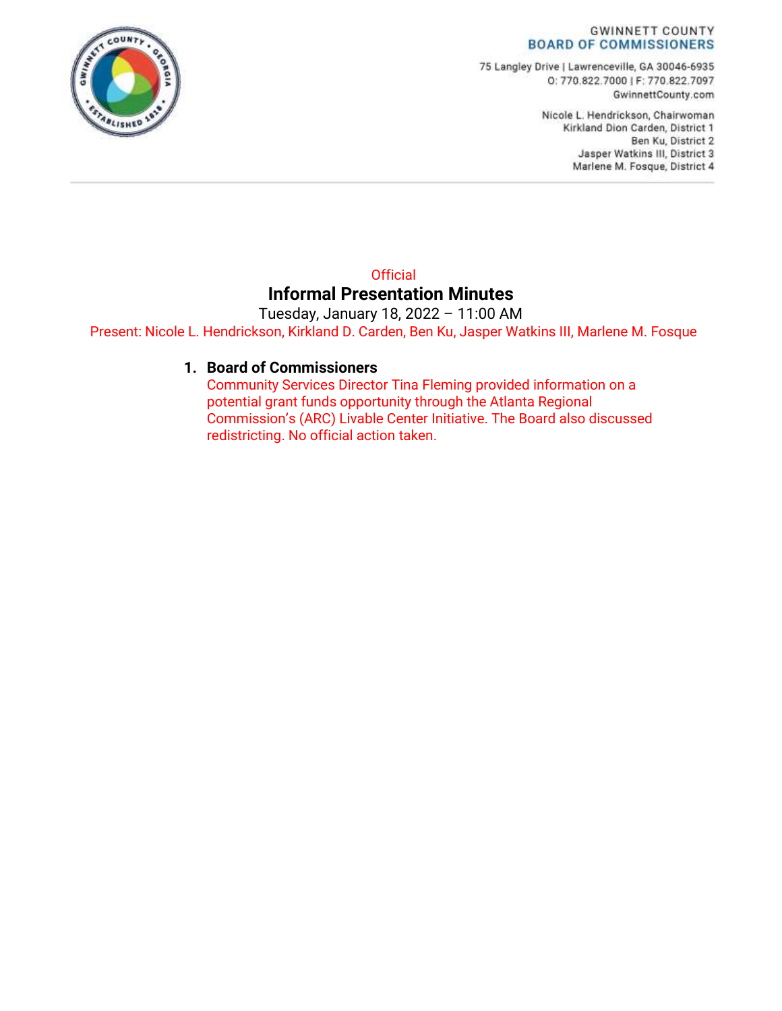#### **GWINNETT COUNTY BOARD OF COMMISSIONERS**

75 Langley Drive | Lawrenceville, GA 30046-6935 O: 770.822.7000 | F: 770.822.7097 GwinnettCounty.com

> Nicole L. Hendrickson, Chairwoman Kirkland Dion Carden, District 1 Ben Ku, District 2 Jasper Watkins III, District 3 Marlene M. Fosque, District 4

#### **Official Informal Presentation Minutes**

Tuesday, January 18, 2022 – 11:00 AM Present: Nicole L. Hendrickson, Kirkland D. Carden, Ben Ku, Jasper Watkins III, Marlene M. Fosque

#### **1. Board of Commissioners**

Community Services Director Tina Fleming provided information on a potential grant funds opportunity through the Atlanta Regional Commission's (ARC) Livable Center Initiative. The Board also discussed redistricting. No official action taken.

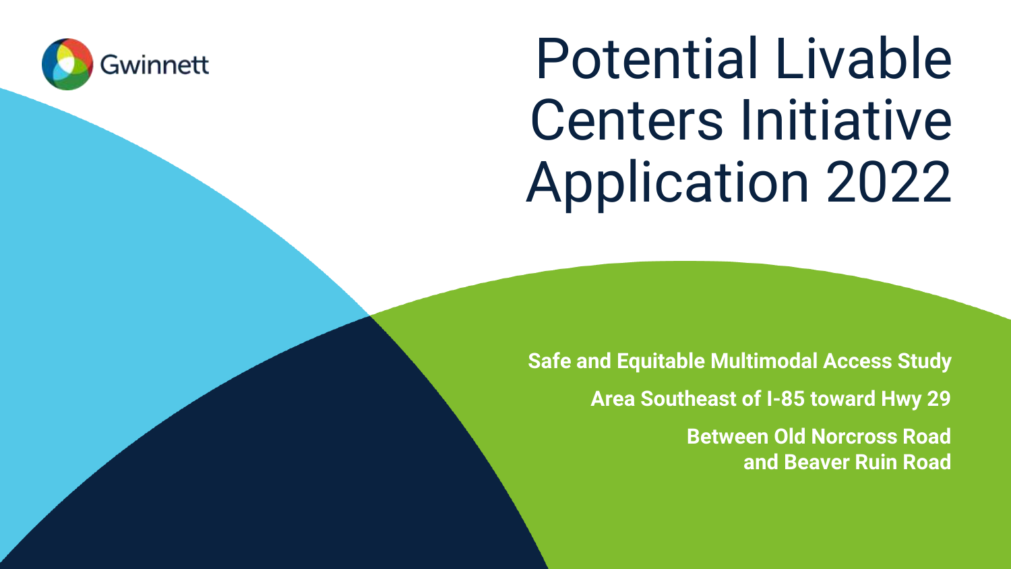

# Potential Livable Centers Initiative Application 2022

**Safe and Equitable Multimodal Access Study Area Southeast of I-85 toward Hwy 29 Between Old Norcross Road and Beaver Ruin Road**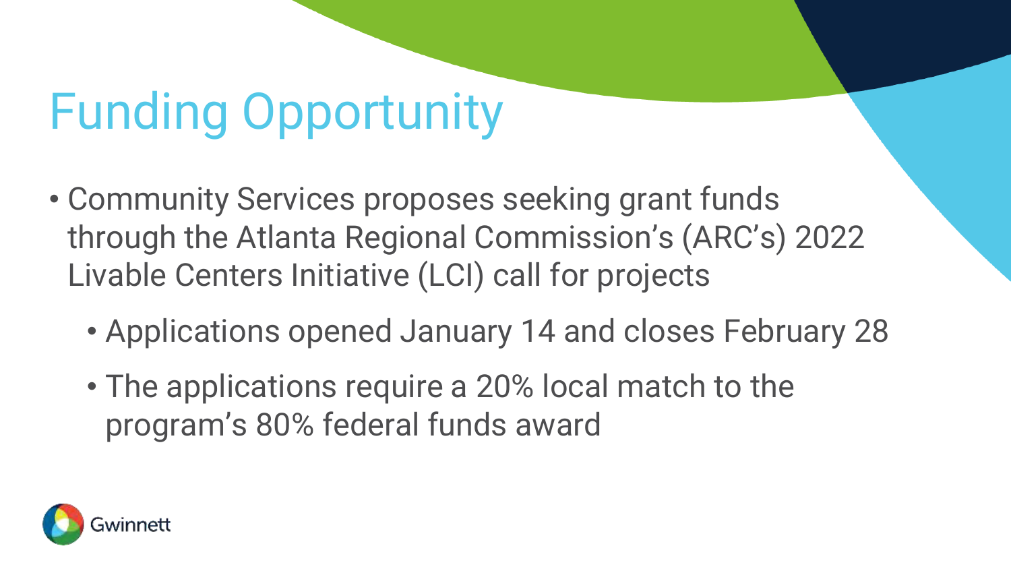## Funding Opportunity

- Community Services proposes seeking grant funds through the Atlanta Regional Commission's (ARC's) 2022 Livable Centers Initiative (LCI) call for projects
	- Applications opened January 14 and closes February 28
	- The applications require a 20% local match to the program's 80% federal funds award

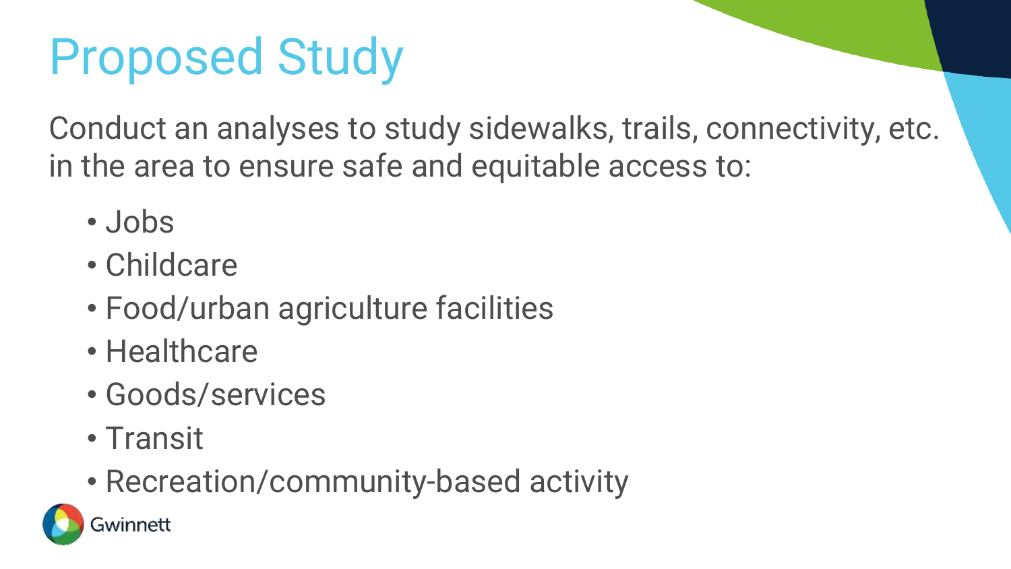## Proposed Study

Conduct an analyses to study sidewalks, trails, connectivity, etc. in the area to ensure safe and equitable access to:

- Jobs
- Childcare
- Food/urban agriculture facilities
- Healthcare
- Goods/services
- Transit
- Recreation/community-based activity

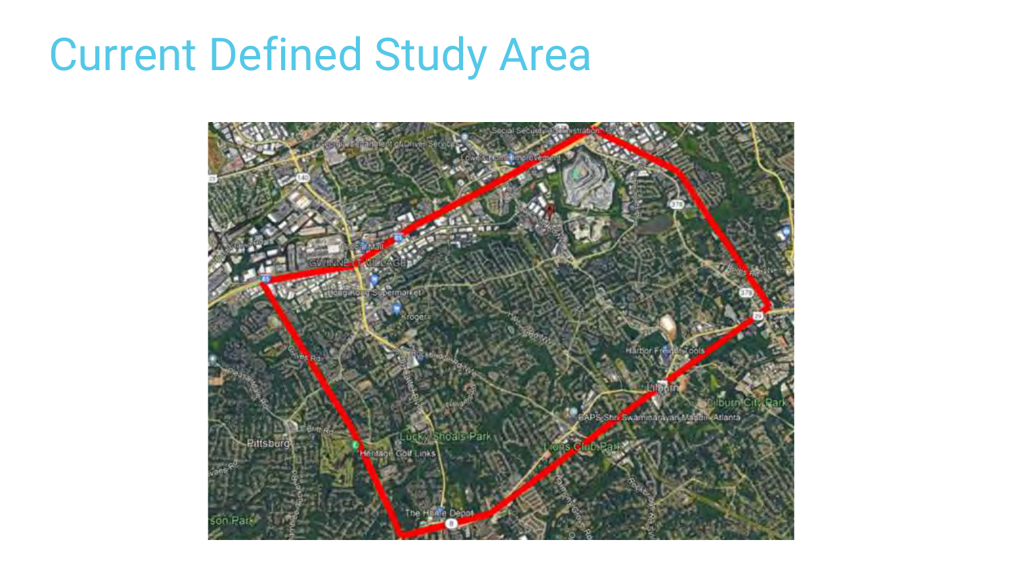### Current Defined Study Area